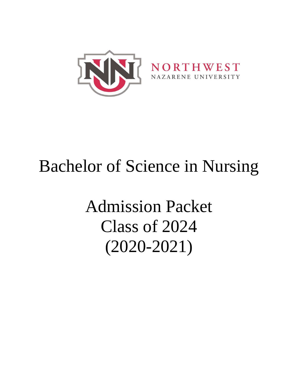

# Bachelor of Science in Nursing

Admission Packet Class of 2024 (2020-2021)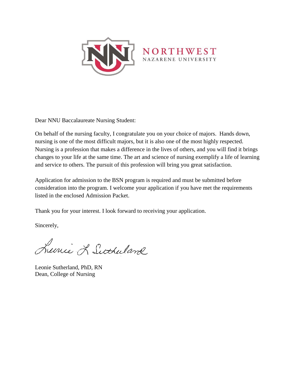

Dear NNU Baccalaureate Nursing Student:

On behalf of the nursing faculty, I congratulate you on your choice of majors. Hands down, nursing is one of the most difficult majors, but it is also one of the most highly respected. Nursing is a profession that makes a difference in the lives of others, and you will find it brings changes to your life at the same time. The art and science of nursing exemplify a life of learning and service to others. The pursuit of this profession will bring you great satisfaction.

Application for admission to the BSN program is required and must be submitted before consideration into the program. I welcome your application if you have met the requirements listed in the enclosed Admission Packet.

Thank you for your interest. I look forward to receiving your application.

Sincerely,

Lucie L Sutherland

Leonie Sutherland, PhD, RN Dean, College of Nursing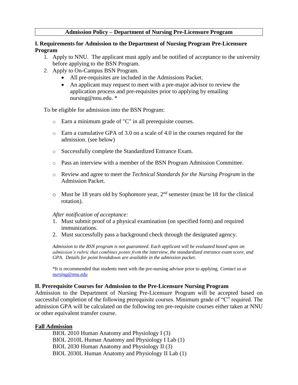#### **Admission Policy – Department of Nursing Pre-Licensure Program**

#### **I. Requirements for Admission to the Department of Nursing Program Pre-Licensure Program**

- 1. Apply to NNU. The applicant must apply and be notified of acceptance to the university before applying to the BSN Program.
- 2. Apply to On-Campus BSN Program.
	- All pre-requisites are included in the Admissions Packet.
	- An applicant may request to meet with a pre-major advisor to review the application process and pre-requisites prior to applying by emailing nursing@nnu.edu. \*

To be eligible for admission into the BSN Program:

- o Earn a minimum grade of "C" in all prerequisite courses.
- o Earn a cumulative GPA of 3.0 on a scale of 4.0 in the courses required for the admission. (see below)
- o Successfully complete the Standardized Entrance Exam.
- o Pass an interview with a member of the BSN Program Admission Committee.
- o Review and agree to meet the *Technical Standards for the Nursing Program* in the Admission Packet.
- $\circ$  Must be 18 years old by Sophomore year,  $2<sup>nd</sup>$  semester (must be 18 for the clinical rotation).

#### *After notification of acceptance:*

- 1. Must submit proof of a physical examination (on specified form) and required immunizations.
- 2. Must successfully pass a background check through the designated agency.

*Admission to the BSN program is not guaranteed. Each applicant will be evaluated based upon on admission's rubric that combines points from the interview, the standardized entrance exam score, and GPA. Details for point breakdown are available in the admission packet.*

\*It is recommended that students meet with the pre-nursing advisor prior to applying. *Contact us at [nursing@nnu.edu](mailto:nursing@nnu.edu)*

#### **II. Prerequisite Courses for Admission to the Pre-Licensure Nursing Program**

Admission to the Department of Nursing Pre-Licensure Program will be accepted based on successful completion of the following prerequisite courses. Minimum grade of "C" required. The admission GPA will be calculated on the following ten pre-requisite courses either taken at NNU or other equivalent transfer course.

#### **Fall Admission**

BIOL 2010 Human Anatomy and Physiology I (3) BIOL 2010L Human Anatomy and Physiology I Lab (1) BIOL 2030 Human Anatomy and Physiology II (3) BIOL 2030L Human Anatomy and Physiology II Lab (1)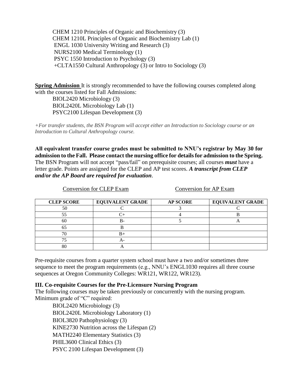CHEM 1210 Principles of Organic and Biochemistry (3) CHEM 1210L Principles of Organic and Biochemistry Lab (1) ENGL 1030 University Writing and Research (3) NURS2100 Medical Terminology (1) PSYC 1550 Introduction to Psychology (3) +CLTA1550 Cultural Anthropology (3) or Intro to Sociology (3)

**Spring Admission** It is strongly recommended to have the following courses completed along with the courses listed for Fall Admissions:

BIOL2420 Microbiology (3) BIOL2420L Microbiology Lab (1) PSYC2100 Lifespan Development (3)

*+For transfer students, the BSN Program will accept either an Introduction to Sociology course or an Introduction to Cultural Anthropology course.*

**All equivalent transfer course grades must be submitted to NNU's registrar by May 30 for admission to the Fall. Please contact the nursing office for details for admission to the Spring.** The BSN Program will not accept "pass/fail" on prerequisite courses; all courses *must* have a letter grade. Points are assigned for the CLEP and AP test scores. *A transcript from CLEP and/or the AP Board are required for evaluation*.

 Conversion for CLEP Exam Conversion for AP Exam **CLEP SCORE EQUIVALENT GRADE AP SCORE EQUIVALENT GRADE** 50 C 3 C 55 (C+ d) 4 B 60 B- 1 5 A 65 B  $70$  B+

Pre-requisite courses from a quarter system school must have a two and/or sometimes three sequence to meet the program requirements (e.g., NNU's ENGL1030 requires all three course sequences at Oregon Community Colleges: WR121, WR122, WR123).

#### **III. Co-requisite Courses for the Pre-Licensure Nursing Program**

The following courses may be taken previously or concurrently with the nursing program. Minimum grade of "C" required:

BIOL2420 Microbiology (3) BIOL2420L Microbiology Laboratory (1) BIOL3820 Pathophysiology (3) KINE2730 Nutrition across the Lifespan (2) MATH2240 Elementary Statistics (3) PHIL3600 Clinical Ethics (3) PSYC 2100 Lifespan Development (3)

75 A-80 A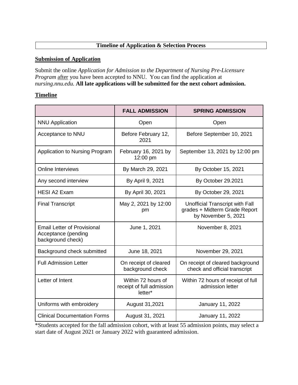# **Timeline of Application & Selection Process**

#### **Submission of Application**

Submit the online *Application for Admission to the Department of Nursing Pre-Licensure Program* after you have been accepted to NNU. You can find the application at *nursing.nnu.edu.* **All late applications will be submitted for the next cohort admission.**

#### **Timeline**

|                                                                                | <b>FALL ADMISSION</b>                                      | <b>SPRING ADMISSION</b>                                                                 |
|--------------------------------------------------------------------------------|------------------------------------------------------------|-----------------------------------------------------------------------------------------|
| <b>NNU Application</b>                                                         | Open                                                       | Open                                                                                    |
| Acceptance to NNU                                                              | Before February 12,<br>2021                                | Before September 10, 2021                                                               |
| Application to Nursing Program                                                 | February 16, 2021 by<br>12:00 pm                           | September 13, 2021 by 12:00 pm                                                          |
| <b>Online Interviews</b>                                                       | By March 29, 2021                                          | By October 15, 2021                                                                     |
| Any second interview                                                           | By April 9, 2021                                           | By October 29.2021                                                                      |
| <b>HESI A2 Exam</b>                                                            | By April 30, 2021                                          | By October 29, 2021                                                                     |
| <b>Final Transcript</b>                                                        | May 2, 2021 by 12:00<br>pm                                 | Unofficial Transcript with Fall<br>grades + Midterm Grade Report<br>by November 5, 2021 |
| <b>Email Letter of Provisional</b><br>Acceptance (pending<br>background check) | June 1, 2021                                               | November 8, 2021                                                                        |
| Background check submitted                                                     | June 18, 2021                                              | November 29, 2021                                                                       |
| <b>Full Admission Letter</b>                                                   | On receipt of cleared<br>background check                  | On receipt of cleared background<br>check and official transcript                       |
| Letter of Intent                                                               | Within 72 hours of<br>receipt of full admission<br>letter* | Within 72 hours of receipt of full<br>admission letter                                  |
| Uniforms with embroidery                                                       | August 31,2021                                             | January 11, 2022                                                                        |
| <b>Clinical Documentation Forms</b>                                            | August 31, 2021                                            | January 11, 2022                                                                        |

\*Students accepted for the fall admission cohort, with at least 55 admission points, may select a start date of August 2021 or January 2022 with guaranteed admission.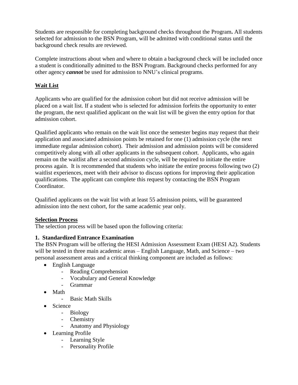Students are responsible for completing background checks throughout the Program**.** All students selected for admission to the BSN Program, will be admitted with conditional status until the background check results are reviewed.

Complete instructions about when and where to obtain a background check will be included once a student is conditionally admitted to the BSN Program. Background checks performed for any other agency *cannot* be used for admission to NNU's clinical programs.

# **Wait List**

Applicants who are qualified for the admission cohort but did not receive admission will be placed on a wait list. If a student who is selected for admission forfeits the opportunity to enter the program, the next qualified applicant on the wait list will be given the entry option for that admission cohort.

Qualified applicants who remain on the wait list once the semester begins may request that their application and associated admission points be retained for one (1) admission cycle (the next immediate regular admission cohort). Their admission and admission points will be considered competitively along with all other applicants in the subsequent cohort. Applicants, who again remain on the waitlist after a second admission cycle, will be required to initiate the entire process again. It is recommended that students who initiate the entire process following two (2) waitlist experiences, meet with their advisor to discuss options for improving their application qualifications. The applicant can complete this request by contacting the BSN Program Coordinator.

Qualified applicants on the wait list with at least 55 admission points, will be guaranteed admission into the next cohort, for the same academic year only.

# **Selection Process**

The selection process will be based upon the following criteria:

# **1. Standardized Entrance Examination**

The BSN Program will be offering the HESI Admission Assessment Exam (HESI A2). Students will be tested in three main academic areas – English Language, Math, and Science – two personal assessment areas and a critical thinking component are included as follows:

- English Language
	- Reading Comprehension
	- Vocabulary and General Knowledge
	- Grammar
- Math
	- Basic Math Skills
- Science
	- Biology
	- Chemistry
	- Anatomy and Physiology
- Learning Profile
	- Learning Style
	- Personality Profile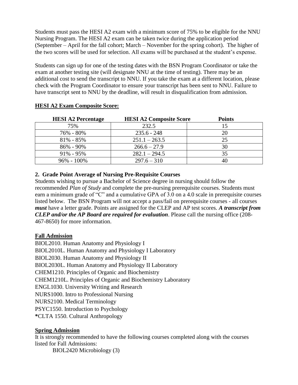Students must pass the HESI A2 exam with a minimum score of 75% to be eligible for the NNU Nursing Program. The HESI A2 exam can be taken twice during the application period (September – April for the fall cohort; March – November for the spring cohort). The higher of the two scores will be used for selection. All exams will be purchased at the student's expense.

Students can sign up for one of the testing dates with the BSN Program Coordinator or take the exam at another testing site (will designate NNU at the time of testing). There may be an additional cost to send the transcript to NNU. If you take the exam at a different location, please check with the Program Coordinator to ensure your transcript has been sent to NNU. Failure to have transcript sent to NNU by the deadline, will result in disqualification from admission.

| <b>HESI A2 Percentage</b> | <b>HESI A2 Composite Score</b> | <b>Points</b> |
|---------------------------|--------------------------------|---------------|
| 75%                       | 232.5                          |               |
| 76% - 80%                 | $235.6 - 248$                  | 20            |
| $81\% - 85\%$             | $251.1 - 263.5$                | 25            |
| 86% - 90%                 | $266.6 - 27.9$                 | 30            |
| $91\% - 95\%$             | $282.1 - 294.5$                | 35            |
| $96\% - 100\%$            | $297.6 - 310$                  | 40            |

#### **HESI A2 Exam Composite Score:**

## **2. Grade Point Average of Nursing Pre-Requisite Courses**

Students wishing to pursue a Bachelor of Science degree in nursing should follow the recommended *Plan of Study* and complete the pre-nursing prerequisite courses. Students must earn a minimum grade of "C" and a cumulative GPA of 3.0 on a 4.0 scale in prerequisite courses listed below. The BSN Program will not accept a pass/fail on prerequisite courses - all courses *must* have a letter grade. Points are assigned for the CLEP and AP test scores. *A transcript from CLEP and/or the AP Board are required for evaluation*. Please call the nursing office (208- 467-8650) for more information.

## **Fall Admission**

BIOL2010. Human Anatomy and Physiology I BIOL2010L. Human Anatomy and Physiology I Laboratory BIOL2030. Human Anatomy and Physiology II BIOL2030L. Human Anatomy and Physiology II Laboratory CHEM1210. Principles of Organic and Biochemistry CHEM1210L. Principles of Organic and Biochemistry Laboratory ENGL1030. University Writing and Research NURS1000. Intro to Professional Nursing NURS2100. Medical Terminology PSYC1550. Introduction to Psychology **\***CLTA 1550. Cultural Anthropology

## **Spring Admission**

It is strongly recommended to have the following courses completed along with the courses listed for Fall Admissions:

BIOL2420 Microbiology (3)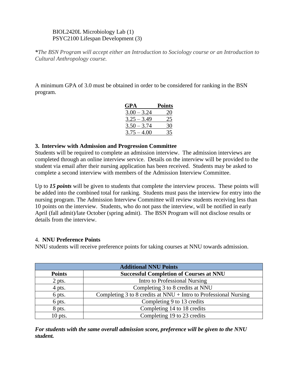## BIOL2420L Microbiology Lab (1) PSYC2100 Lifespan Development (3)

*\*The BSN Program will accept either an Introduction to Sociology course or an Introduction to Cultural Anthropology course.*

A minimum GPA of 3.0 must be obtained in order to be considered for ranking in the BSN program.

| GPA           | <b>Points</b> |
|---------------|---------------|
| $3.00 - 3.24$ | 20            |
| $3.25 - 3.49$ | 25            |
| $3.50 - 3.74$ | 30            |
| $3.75 - 4.00$ | 35            |

#### **3. Interview with Admission and Progression Committee**

Students will be required to complete an admission interview. The admission interviews are completed through an online interview service. Details on the interview will be provided to the student via email after their nursing application has been received. Students may be asked to complete a second interview with members of the Admission Interview Committee.

Up to *15 points* will be given to students that complete the interview process. These points will be added into the combined total for ranking. Students must pass the interview for entry into the nursing program. The Admission Interview Committee will review students receiving less than 10 points on the interview. Students, who do not pass the interview, will be notified in early April (fall admit)/late October (spring admit). The BSN Program will not disclose results or details from the interview.

## 4. **NNU Preference Points**

NNU students will receive preference points for taking courses at NNU towards admission.

| <b>Additional NNU Points</b> |                                                                    |  |
|------------------------------|--------------------------------------------------------------------|--|
| <b>Points</b>                | <b>Successful Completion of Courses at NNU</b>                     |  |
| 2 pts.                       | Intro to Professional Nursing                                      |  |
| 4 pts.                       | Completing 3 to 8 credits at NNU                                   |  |
| 6 pts.                       | Completing 3 to 8 credits at $NNU + Intro$ to Professional Nursing |  |
| 6 pts.                       | Completing 9 to 13 credits                                         |  |
| 8 pts.                       | Completing 14 to 18 credits                                        |  |
| $10$ pts.                    | Completing 19 to 23 credits                                        |  |

*For students with the same overall admission score, preference will be given to the NNU student.*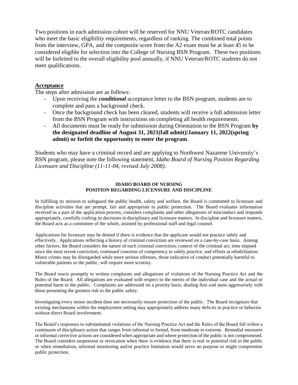Two positions in each admission cohort will be reserved for NNU Veteran/ROTC candidates who meet the basic eligibility requirements, regardless of ranking. The combined total points from the interview, GPA, and the composite score from the A2 exam must be at least 45 to be considered eligible for selection into the College of Nursing BSN Program. These two positions will be forfeited to the overall eligibility pool annually, if NNU Veteran/ROTC students do not meet qualifications.

#### **Acceptance**

The steps after admission are as follows:

- Upon receiving the *conditional* acceptance letter to the BSN program, students are to complete and pass a background check.
- Once the background check has been cleared, students will receive a full admission letter from the BSN Program with instructions on completing all health requirements.
- All documents must be ready for submission during Orientation to the BSN Program **by the designated deadline of August 31, 2021(fall admit)/January 11, 2022(spring admit) or forfeit the opportunity to enter the program**.

Students who may have a criminal record and are applying to Northwest Nazarene University's BSN program, please note the following statement, *Idaho Board of Nursing Position Regarding Licensure and Discipline (11-11-04, revised July 2008)*.

#### **IDAHO BOARD OF NURSING POSITION REGARDING LICENSURE AND DISCIPLINE**

In fulfilling its mission to safeguard the public health, safety and welfare, the Board is committed to licensure and discipline activities that are prompt, fair and appropriate to public protection. The Board evaluates information received as a part of the application process, considers complaints and other allegations of misconduct and responds appropriately, carefully crafting its decisions in disciplinary and licensure matters. In discipline and licensure matters, the Board acts as a committee of the whole, assisted by professional staff and legal counsel.

Applications for licensure may be denied if there is evidence that the applicant would not practice safely and effectively. Applications reflecting a history of criminal conviction are reviewed on a case-by-case basis. Among other factors, the Board considers the nature of each criminal conviction; context of the criminal act, time elapsed since the most recent conviction, continued concerns of competency to safely practice, and efforts at rehabilitation. Minor crimes may be disregarded while more serious offenses, those indicative of conduct potentially harmful to vulnerable patients or the public, will require more scrutiny.

The Board reacts promptly to written complaints and allegations of violations of the Nursing Practice Act and the Rules of the Board. All allegations are evaluated with respect to the merits of the individual case and the actual or potential harm to the public. Complaints are addressed on a priority basis, dealing first and most aggressively with those presenting the greatest risk to the public safety.

Investigating every minor incident does not necessarily ensure protection of the public. The Board recognizes that existing mechanisms within the employment setting may appropriately address many deficits in practice or behavior without direct Board involvement.

The Board's responses to substantiated violations of the Nursing Practice Act and the Rules of the Board fall within a continuum of disciplinary action that ranges from informal to formal, from moderate to extreme. Remedial measures or informal corrective actions are considered when appropriate and where protection of the public is not compromised. The Board considers suspension or revocation when there is evidence that there is real or potential risk to the public or when remediation, informal monitoring and/or practice limitation would serve no purpose or might compromise public protection.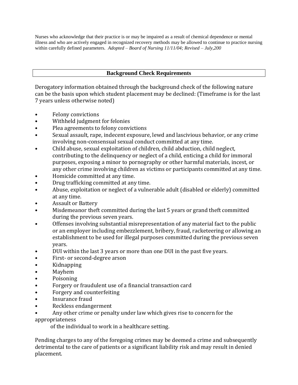Nurses who acknowledge that their practice is or may be impaired as a result of chemical dependence or mental illness and who are actively engaged in recognized recovery methods may be allowed to continue to practice nursing within carefully defined parameters. *Adopted – Board of Nursing 11/11/04; Revised – July,200*

# **Background Check Requirements**

Derogatory information obtained through the background check of the following nature can be the basis upon which student placement may be declined: (Timeframe is for the last 7 years unless otherwise noted)

- Felony convictions
- Withheld judgment for felonies
- Plea agreements to felony convictions
- Sexual assault, rape, indecent exposure, lewd and lascivious behavior, or any crime involving non-consensual sexual conduct committed at any time.
- Child abuse, sexual exploitation of children, child abduction, child neglect, contributing to the delinquency or neglect of a child, enticing a child for immoral purposes, exposing a minor to pornography or other harmful materials, incest, or any other crime involving children as victims or participants committed at any time.
- Homicide committed at any time.
- Drug trafficking committed at any time.
- Abuse, exploitation or neglect of a vulnerable adult (disabled or elderly) committed at any time.
- Assault or Battery
- Misdemeanor theft committed during the last 5 years or grand theft committed during the previous seven years.
- Offenses involving substantial misrepresentation of any material fact to the public or an employer including embezzlement, bribery, fraud, racketeering or allowing an establishment to be used for illegal purposes committed during the previous seven years.
- DUI within the last 3 years or more than one DUI in the past five years.
- First- or second-degree arson
- Kidnapping
- Mayhem
- Poisoning
- Forgery or fraudulent use of a financial transaction card
- Forgery and counterfeiting
- Insurance fraud
- Reckless endangerment
- Any other crime or penalty under law which gives rise to concern for the

appropriateness

of the individual to work in a healthcare setting.

Pending charges to any of the foregoing crimes may be deemed a crime and subsequently detrimental to the care of patients or a significant liability risk and may result in denied placement.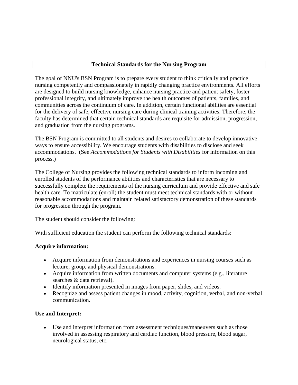#### **Technical Standards for the Nursing Program**

The goal of NNU's BSN Program is to prepare every student to think critically and practice nursing competently and compassionately in rapidly changing practice environments. All efforts are designed to build nursing knowledge, enhance nursing practice and patient safety, foster professional integrity, and ultimately improve the health outcomes of patients, families, and communities across the continuum of care. In addition, certain functional abilities are essential for the delivery of safe, effective nursing care during clinical training activities. Therefore, the faculty has determined that certain technical standards are requisite for admission, progression, and graduation from the nursing programs.

The BSN Program is committed to all students and desires to collaborate to develop innovative ways to ensure accessibility. We encourage students with disabilities to disclose and seek accommodations. (See *Accommodations for Students with Disabilities* for information on this process.)

The College of Nursing provides the following technical standards to inform incoming and enrolled students of the performance abilities and characteristics that are necessary to successfully complete the requirements of the nursing curriculum and provide effective and safe health care. To matriculate (enroll) the student must meet technical standards with or without reasonable accommodations and maintain related satisfactory demonstration of these standards for progression through the program.

The student should consider the following:

With sufficient education the student can perform the following technical standards:

## **Acquire information:**

- Acquire information from demonstrations and experiences in nursing courses such as lecture, group, and physical demonstrations.
- Acquire information from written documents and computer systems (e.g., literature searches & data retrieval).
- Identify information presented in images from paper, slides, and videos.
- Recognize and assess patient changes in mood, activity, cognition, verbal, and non-verbal communication.

## **Use and Interpret:**

• Use and interpret information from assessment techniques/maneuvers such as those involved in assessing respiratory and cardiac function, blood pressure, blood sugar, neurological status, etc.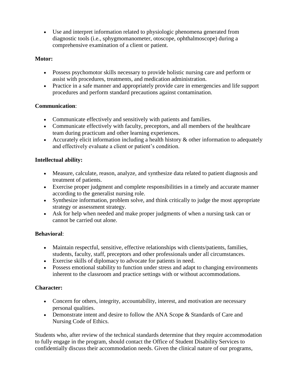• Use and interpret information related to physiologic phenomena generated from diagnostic tools (i.e., sphygmomanometer, otoscope, ophthalmoscope) during a comprehensive examination of a client or patient.

# **Motor:**

- Possess psychomotor skills necessary to provide holistic nursing care and perform or assist with procedures, treatments, and medication administration.
- Practice in a safe manner and appropriately provide care in emergencies and life support procedures and perform standard precautions against contamination.

# **Communication**:

- Communicate effectively and sensitively with patients and families.
- Communicate effectively with faculty, preceptors, and all members of the healthcare team during practicum and other learning experiences.
- Accurately elicit information including a health history  $\&$  other information to adequately and effectively evaluate a client or patient's condition.

# **Intellectual ability:**

- Measure, calculate, reason, analyze, and synthesize data related to patient diagnosis and treatment of patients.
- Exercise proper judgment and complete responsibilities in a timely and accurate manner according to the generalist nursing role.
- Synthesize information, problem solve, and think critically to judge the most appropriate strategy or assessment strategy.
- Ask for help when needed and make proper judgments of when a nursing task can or cannot be carried out alone.

# **Behavioral**:

- Maintain respectful, sensitive, effective relationships with clients/patients, families, students, faculty, staff, preceptors and other professionals under all circumstances.
- Exercise skills of diplomacy to advocate for patients in need.
- Possess emotional stability to function under stress and adapt to changing environments inherent to the classroom and practice settings with or without accommodations.

## **Character:**

- Concern for others, integrity, accountability, interest, and motivation are necessary personal qualities.
- Demonstrate intent and desire to follow the ANA Scope & Standards of Care and Nursing Code of Ethics.

Students who, after review of the technical standards determine that they require accommodation to fully engage in the program, should contact the Office of Student Disability Services to confidentially discuss their accommodation needs. Given the clinical nature of our programs,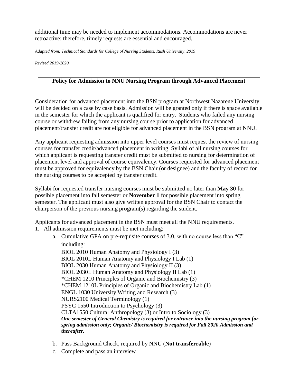additional time may be needed to implement accommodations. Accommodations are never retroactive; therefore, timely requests are essential and encouraged.

*Adapted from: Technical Standards for College of Nursing Students, Rush University, 2019*

*Revised 2019-2020*

## **Policy for Admission to NNU Nursing Program through Advanced Placement**

Consideration for advanced placement into the BSN program at Northwest Nazarene University will be decided on a case by case basis. Admission will be granted only if there is space available in the semester for which the applicant is qualified for entry. Students who failed any nursing course or withdrew failing from any nursing course prior to application for advanced placement/transfer credit are not eligible for advanced placement in the BSN program at NNU.

Any applicant requesting admission into upper level courses must request the review of nursing courses for transfer credit/advanced placement in writing. Syllabi of all nursing courses for which applicant is requesting transfer credit must be submitted to nursing for determination of placement level and approval of course equivalency. Courses requested for advanced placement must be approved for equivalency by the BSN Chair (or designee) and the faculty of record for the nursing courses to be accepted by transfer credit.

Syllabi for requested transfer nursing courses must be submitted no later than **May 30** for possible placement into fall semester or **November 1** for possible placement into spring semester. The applicant must also give written approval for the BSN Chair to contact the chairperson of the previous nursing program(s) regarding the student.

Applicants for advanced placement in the BSN must meet all the NNU requirements.

- 1. All admission requirements must be met including:
	- a. Cumulative GPA on pre-requisite courses of 3.0, with no course less than "C" including:

BIOL 2010 Human Anatomy and Physiology I (3) BIOL 2010L Human Anatomy and Physiology I Lab (1) BIOL 2030 Human Anatomy and Physiology II (3) BIOL 2030L Human Anatomy and Physiology II Lab (1) \*CHEM 1210 Principles of Organic and Biochemistry (3) \*CHEM 1210L Principles of Organic and Biochemistry Lab (1) ENGL 1030 University Writing and Research (3) NURS2100 Medical Terminology (1) PSYC 1550 Introduction to Psychology (3) CLTA1550 Cultural Anthropology (3) or Intro to Sociology (3) *One semester of General Chemistry is required for entrance into the nursing program for spring admission only; Organic/ Biochemistry is required for Fall 2020 Admission and thereafter.*

- b. Pass Background Check, required by NNU (**Not transferrable**)
- c. Complete and pass an interview